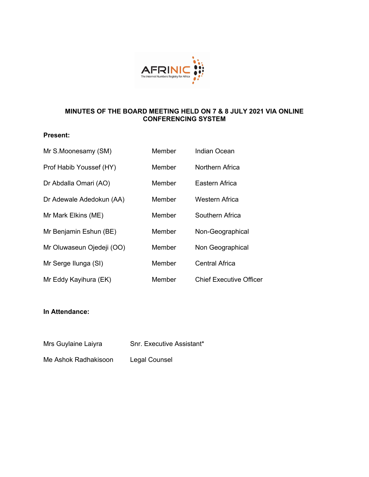

# **MINUTES OF THE BOARD MEETING HELD ON 7 & 8 JULY 2021 VIA ONLINE CONFERENCING SYSTEM**

# **Present:**

| Mr S.Moonesamy (SM)       | Member | <b>Indian Ocean</b>            |
|---------------------------|--------|--------------------------------|
| Prof Habib Youssef (HY)   | Member | Northern Africa                |
| Dr Abdalla Omari (AO)     | Member | Eastern Africa                 |
| Dr Adewale Adedokun (AA)  | Member | Western Africa                 |
| Mr Mark Elkins (ME)       | Member | Southern Africa                |
| Mr Benjamin Eshun (BE)    | Member | Non-Geographical               |
| Mr Oluwaseun Ojedeji (OO) | Member | Non Geographical               |
| Mr Serge Ilunga (SI)      | Member | <b>Central Africa</b>          |
| Mr Eddy Kayihura (EK)     | Member | <b>Chief Executive Officer</b> |

# **In Attendance:**

| Mrs Guylaine Laiyra | Snr. Executive Assistant* |
|---------------------|---------------------------|
|                     |                           |

Me Ashok Radhakisoon Legal Counsel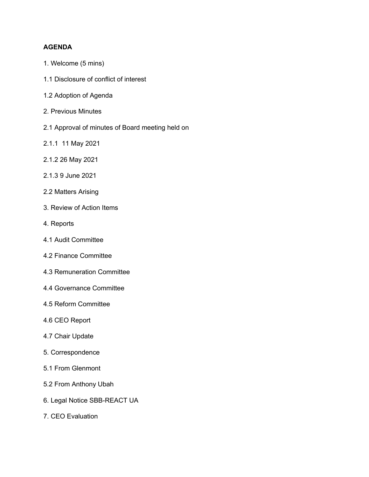# **AGENDA**

- 1. Welcome (5 mins)
- 1.1 Disclosure of conflict of interest
- 1.2 Adoption of Agenda
- 2. Previous Minutes
- 2.1 Approval of minutes of Board meeting held on
- 2.1.1 11 May 2021
- 2.1.2 26 May 2021
- 2.1.3 9 June 2021
- 2.2 Matters Arising
- 3. Review of Action Items
- 4. Reports
- 4.1 Audit Committee
- 4.2 Finance Committee
- 4.3 Remuneration Committee
- 4.4 Governance Committee
- 4.5 Reform Committee
- 4.6 CEO Report
- 4.7 Chair Update
- 5. Correspondence
- 5.1 From Glenmont
- 5.2 From Anthony Ubah
- 6. Legal Notice SBB-REACT UA
- 7. CEO Evaluation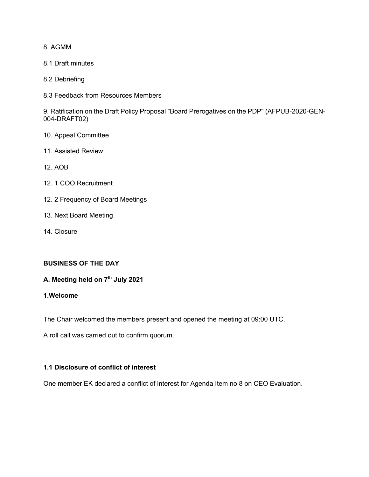8. AGMM

- 8.1 Draft minutes
- 8.2 Debriefing
- 8.3 Feedback from Resources Members

9. Ratification on the Draft Policy Proposal "Board Prerogatives on the PDP" (AFPUB-2020-GEN-004-DRAFT02)

- 10. Appeal Committee
- 11. Assisted Review
- 12. AOB
- 12. 1 COO Recruitment
- 12. 2 Frequency of Board Meetings
- 13. Next Board Meeting
- 14. Closure

# **BUSINESS OF THE DAY**

# **A. Meeting held on 7th July 2021**

# **1.Welcome**

The Chair welcomed the members present and opened the meeting at 09:00 UTC.

A roll call was carried out to confirm quorum.

# **1.1 Disclosure of conflict of interest**

One member EK declared a conflict of interest for Agenda Item no 8 on CEO Evaluation.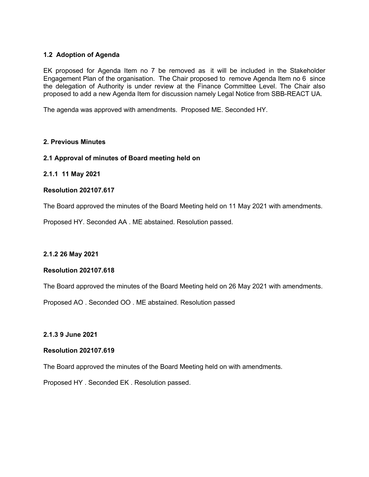# **1.2 Adoption of Agenda**

EK proposed for Agenda Item no 7 be removed as it will be included in the Stakeholder Engagement Plan of the organisation. The Chair proposed to remove Agenda Item no 6 since the delegation of Authority is under review at the Finance Committee Level. The Chair also proposed to add a new Agenda Item for discussion namely Legal Notice from SBB-REACT UA.

The agenda was approved with amendments. Proposed ME. Seconded HY.

# **2. Previous Minutes**

#### **2.1 Approval of minutes of Board meeting held on**

# **2.1.1 11 May 2021**

# **Resolution 202107.617**

The Board approved the minutes of the Board Meeting held on 11 May 2021 with amendments.

Proposed HY. Seconded AA . ME abstained. Resolution passed.

#### **2.1.2 26 May 2021**

#### **Resolution 202107.618**

The Board approved the minutes of the Board Meeting held on 26 May 2021 with amendments.

Proposed AO . Seconded OO . ME abstained. Resolution passed

**2.1.3 9 June 2021**

### **Resolution 202107.619**

The Board approved the minutes of the Board Meeting held on with amendments.

Proposed HY . Seconded EK . Resolution passed.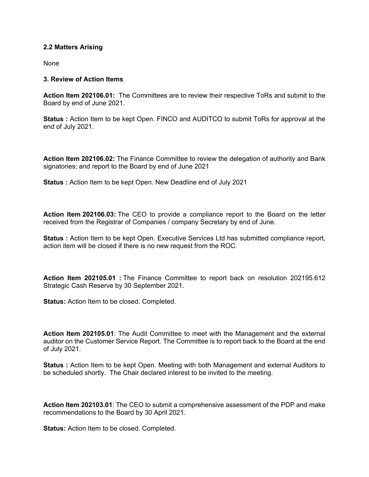# **2.2 Matters Arising**

None

# **3. Review of Action Items**

**Action Item 202106.01:** The Committees are to review their respective ToRs and submit to the Board by end of June 2021.

**Status :** Action Item to be kept Open. FINCO and AUDITCO to submit ToRs for approval at the end of July 2021.

**Action Item 202106.02:** The Finance Committee to review the delegation of authority and Bank signatories; and report to the Board by end of June 2021

**Status :** Action Item to be kept Open. New Deadline end of July 2021

**Action Item 202106.03:** The CEO to provide a compliance report to the Board on the letter received from the Registrar of Companies / company Secretary by end of June.

**Status :** Action Item to be kept Open. Executive Services Ltd has submitted compliance report, action item will be closed if there is no new request from the ROC.

**Action Item 202105.01 :** The Finance Committee to report back on resolution 202195.612 Strategic Cash Reserve by 30 September 2021.

**Status:** Action Item to be closed. Completed.

**Action Item 202105.01**: The Audit Committee to meet with the Management and the external auditor on the Customer Service Report. The Committee is to report back to the Board at the end of July 2021.

**Status :** Action Item to be kept Open. Meeting with both Management and external Auditors to be scheduled shortly. The Chair declared interest to be invited to the meeting.

**Action Item 202103.01**: The CEO to submit a comprehensive assessment of the PDP and make recommendations to the Board by 30 April 2021.

**Status:** Action Item to be closed. Completed.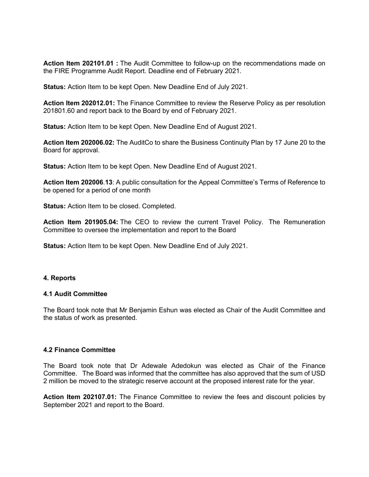**Action Item 202101.01 :** The Audit Committee to follow-up on the recommendations made on the FIRE Programme Audit Report. Deadline end of February 2021.

**Status:** Action Item to be kept Open. New Deadline End of July 2021.

**Action Item 202012.01:** The Finance Committee to review the Reserve Policy as per resolution 201801.60 and report back to the Board by end of February 2021.

**Status:** Action Item to be kept Open. New Deadline End of August 2021.

**Action Item 202006.02:** The AuditCo to share the Business Continuity Plan by 17 June 20 to the Board for approval.

**Status:** Action Item to be kept Open. New Deadline End of August 2021.

**Action Item 202006**.**13**: A public consultation for the Appeal Committee's Terms of Reference to be opened for a period of one month

**Status:** Action Item to be closed. Completed.

**Action Item 201905.04:** The CEO to review the current Travel Policy. The Remuneration Committee to oversee the implementation and report to the Board

**Status:** Action Item to be kept Open. New Deadline End of July 2021.

#### **4. Reports**

#### **4.1 Audit Committee**

The Board took note that Mr Benjamin Eshun was elected as Chair of the Audit Committee and the status of work as presented.

#### **4.2 Finance Committee**

The Board took note that Dr Adewale Adedokun was elected as Chair of the Finance Committee. The Board was informed that the committee has also approved that the sum of USD 2 million be moved to the strategic reserve account at the proposed interest rate for the year.

**Action Item 202107.01:** The Finance Committee to review the fees and discount policies by September 2021 and report to the Board.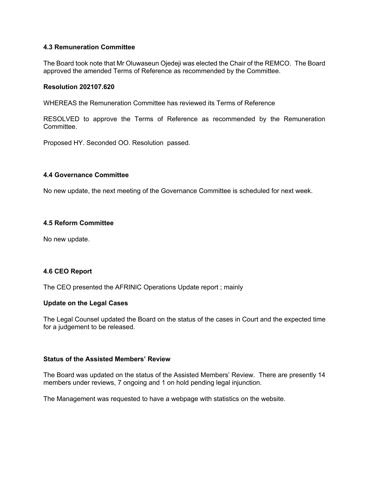# **4.3 Remuneration Committee**

The Board took note that Mr Oluwaseun Ojedeji was elected the Chair of the REMCO. The Board approved the amended Terms of Reference as recommended by the Committee.

#### **Resolution 202107.620**

WHEREAS the Remuneration Committee has reviewed its Terms of Reference

RESOLVED to approve the Terms of Reference as recommended by the Remuneration Committee.

Proposed HY. Seconded OO. Resolution passed.

#### **4.4 Governance Committee**

No new update, the next meeting of the Governance Committee is scheduled for next week.

#### **4.5 Reform Committee**

No new update.

#### **4.6 CEO Report**

The CEO presented the AFRINIC Operations Update report ; mainly

#### **Update on the Legal Cases**

The Legal Counsel updated the Board on the status of the cases in Court and the expected time for a judgement to be released.

### **Status of the Assisted Members' Review**

The Board was updated on the status of the Assisted Members' Review. There are presently 14 members under reviews, 7 ongoing and 1 on hold pending legal injunction.

The Management was requested to have a webpage with statistics on the website.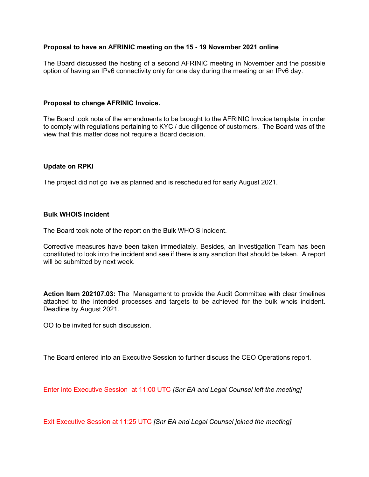# **Proposal to have an AFRINIC meeting on the 15 - 19 November 2021 online**

The Board discussed the hosting of a second AFRINIC meeting in November and the possible option of having an IPv6 connectivity only for one day during the meeting or an IPv6 day.

#### **Proposal to change AFRINIC Invoice.**

The Board took note of the amendments to be brought to the AFRINIC Invoice template in order to comply with regulations pertaining to KYC / due diligence of customers. The Board was of the view that this matter does not require a Board decision.

#### **Update on RPKI**

The project did not go live as planned and is rescheduled for early August 2021.

### **Bulk WHOIS incident**

The Board took note of the report on the Bulk WHOIS incident.

Corrective measures have been taken immediately. Besides, an Investigation Team has been constituted to look into the incident and see if there is any sanction that should be taken. A report will be submitted by next week.

**Action Item 202107.03:** The Management to provide the Audit Committee with clear timelines attached to the intended processes and targets to be achieved for the bulk whois incident. Deadline by August 2021.

OO to be invited for such discussion.

The Board entered into an Executive Session to further discuss the CEO Operations report.

Enter into Executive Session at 11:00 UTC *[Snr EA and Legal Counsel left the meeting]*

Exit Executive Session at 11:25 UTC *[Snr EA and Legal Counsel joined the meeting]*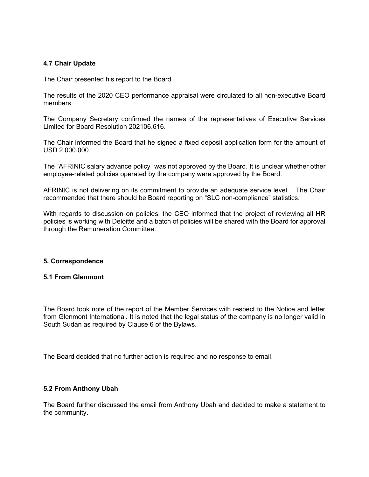# **4.7 Chair Update**

The Chair presented his report to the Board.

The results of the 2020 CEO performance appraisal were circulated to all non-executive Board members.

The Company Secretary confirmed the names of the representatives of Executive Services Limited for Board Resolution 202106.616.

The Chair informed the Board that he signed a fixed deposit application form for the amount of USD 2,000,000.

The "AFRINIC salary advance policy" was not approved by the Board. It is unclear whether other employee-related policies operated by the company were approved by the Board.

AFRINIC is not delivering on its commitment to provide an adequate service level. The Chair recommended that there should be Board reporting on "SLC non-compliance" statistics.

With regards to discussion on policies, the CEO informed that the project of reviewing all HR policies is working with Deloitte and a batch of policies will be shared with the Board for approval through the Remuneration Committee.

#### **5. Correspondence**

#### **5.1 From Glenmont**

The Board took note of the report of the Member Services with respect to the Notice and letter from Glenmont International. It is noted that the legal status of the company is no longer valid in South Sudan as required by Clause 6 of the Bylaws.

The Board decided that no further action is required and no response to email.

# **5.2 From Anthony Ubah**

The Board further discussed the email from Anthony Ubah and decided to make a statement to the community.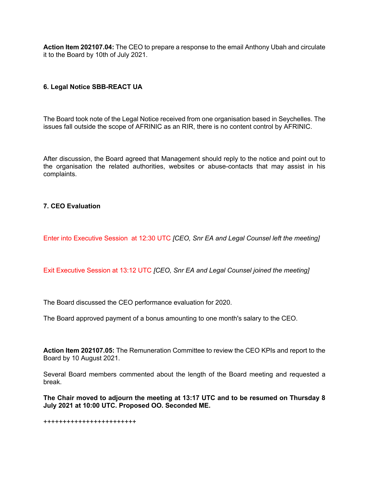**Action Item 202107.04:** The CEO to prepare a response to the email Anthony Ubah and circulate it to the Board by 10th of July 2021.

# **6. Legal Notice SBB-REACT UA**

The Board took note of the Legal Notice received from one organisation based in Seychelles. The issues fall outside the scope of AFRINIC as an RIR, there is no content control by AFRINIC.

After discussion, the Board agreed that Management should reply to the notice and point out to the organisation the related authorities, websites or abuse-contacts that may assist in his complaints.

# **7. CEO Evaluation**

Enter into Executive Session at 12:30 UTC *[CEO, Snr EA and Legal Counsel left the meeting]*

Exit Executive Session at 13:12 UTC *[CEO, Snr EA and Legal Counsel joined the meeting]*

The Board discussed the CEO performance evaluation for 2020.

The Board approved payment of a bonus amounting to one month's salary to the CEO.

**Action Item 202107.05:** The Remuneration Committee to review the CEO KPIs and report to the Board by 10 August 2021.

Several Board members commented about the length of the Board meeting and requested a break.

**The Chair moved to adjourn the meeting at 13:17 UTC and to be resumed on Thursday 8 July 2021 at 10:00 UTC. Proposed OO. Seconded ME.**

++++++++++++++++++++++++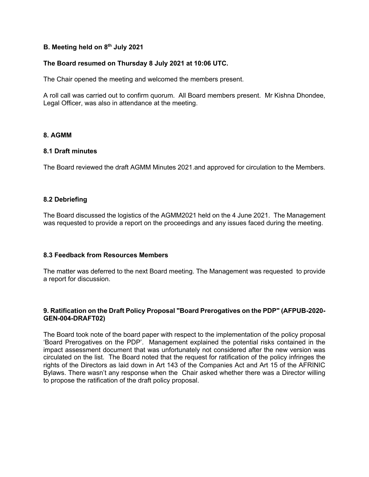# **B. Meeting held on 8th July 2021**

# **The Board resumed on Thursday 8 July 2021 at 10:06 UTC.**

The Chair opened the meeting and welcomed the members present.

A roll call was carried out to confirm quorum. All Board members present. Mr Kishna Dhondee, Legal Officer, was also in attendance at the meeting.

#### **8. AGMM**

#### **8.1 Draft minutes**

The Board reviewed the draft AGMM Minutes 2021.and approved for circulation to the Members.

# **8.2 Debriefing**

The Board discussed the logistics of the AGMM2021 held on the 4 June 2021. The Management was requested to provide a report on the proceedings and any issues faced during the meeting.

## **8.3 Feedback from Resources Members**

The matter was deferred to the next Board meeting. The Management was requested to provide a report for discussion.

# **9. Ratification on the Draft Policy Proposal "Board Prerogatives on the PDP" (AFPUB-2020- GEN-004-DRAFT02)**

The Board took note of the board paper with respect to the implementation of the policy proposal 'Board Prerogatives on the PDP'. Management explained the potential risks contained in the impact assessment document that was unfortunately not considered after the new version was circulated on the list. The Board noted that the request for ratification of the policy infringes the rights of the Directors as laid down in Art 143 of the Companies Act and Art 15 of the AFRINIC Bylaws. There wasn't any response when the Chair asked whether there was a Director willing to propose the ratification of the draft policy proposal.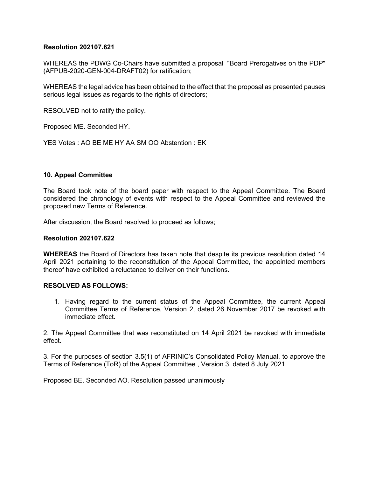## **Resolution 202107.621**

WHEREAS the PDWG Co-Chairs have submitted a proposal "Board Prerogatives on the PDP" (AFPUB-2020-GEN-004-DRAFT02) for ratification;

WHEREAS the legal advice has been obtained to the effect that the proposal as presented pauses serious legal issues as regards to the rights of directors;

RESOLVED not to ratify the policy.

Proposed ME. Seconded HY.

YES Votes : AO BE ME HY AA SM OO Abstention : EK

#### **10. Appeal Committee**

The Board took note of the board paper with respect to the Appeal Committee. The Board considered the chronology of events with respect to the Appeal Committee and reviewed the proposed new Terms of Reference.

After discussion, the Board resolved to proceed as follows;

#### **Resolution 202107.622**

**WHEREAS** the Board of Directors has taken note that despite its previous resolution dated 14 April 2021 pertaining to the reconstitution of the Appeal Committee, the appointed members thereof have exhibited a reluctance to deliver on their functions.

#### **RESOLVED AS FOLLOWS:**

1. Having regard to the current status of the Appeal Committee, the current Appeal Committee Terms of Reference, Version 2, dated 26 November 2017 be revoked with immediate effect.

2. The Appeal Committee that was reconstituted on 14 April 2021 be revoked with immediate effect.

3. For the purposes of section 3.5(1) of AFRINIC's Consolidated Policy Manual, to approve the Terms of Reference (ToR) of the Appeal Committee , Version 3, dated 8 July 2021.

Proposed BE. Seconded AO. Resolution passed unanimously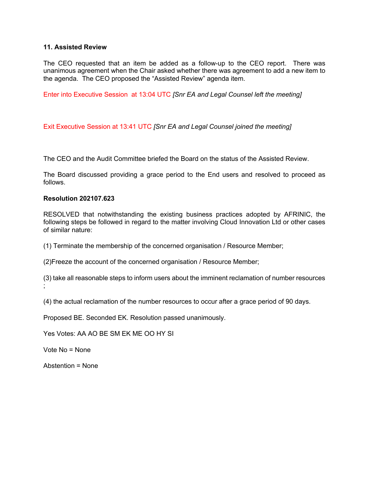# **11. Assisted Review**

The CEO requested that an item be added as a follow-up to the CEO report. There was unanimous agreement when the Chair asked whether there was agreement to add a new item to the agenda. The CEO proposed the "Assisted Review" agenda item.

Enter into Executive Session at 13:04 UTC *[Snr EA and Legal Counsel left the meeting]*

Exit Executive Session at 13:41 UTC *[Snr EA and Legal Counsel joined the meeting]*

The CEO and the Audit Committee briefed the Board on the status of the Assisted Review.

The Board discussed providing a grace period to the End users and resolved to proceed as follows.

#### **Resolution 202107.623**

RESOLVED that notwithstanding the existing business practices adopted by AFRINIC, the following steps be followed in regard to the matter involving Cloud Innovation Ltd or other cases of similar nature:

(1) Terminate the membership of the concerned organisation / Resource Member;

(2)Freeze the account of the concerned organisation / Resource Member;

(3) take all reasonable steps to inform users about the imminent reclamation of number resources ;

(4) the actual reclamation of the number resources to occur after a grace period of 90 days.

Proposed BE. Seconded EK. Resolution passed unanimously.

Yes Votes: AA AO BE SM EK ME OO HY SI

Vote No = None

Abstention = None